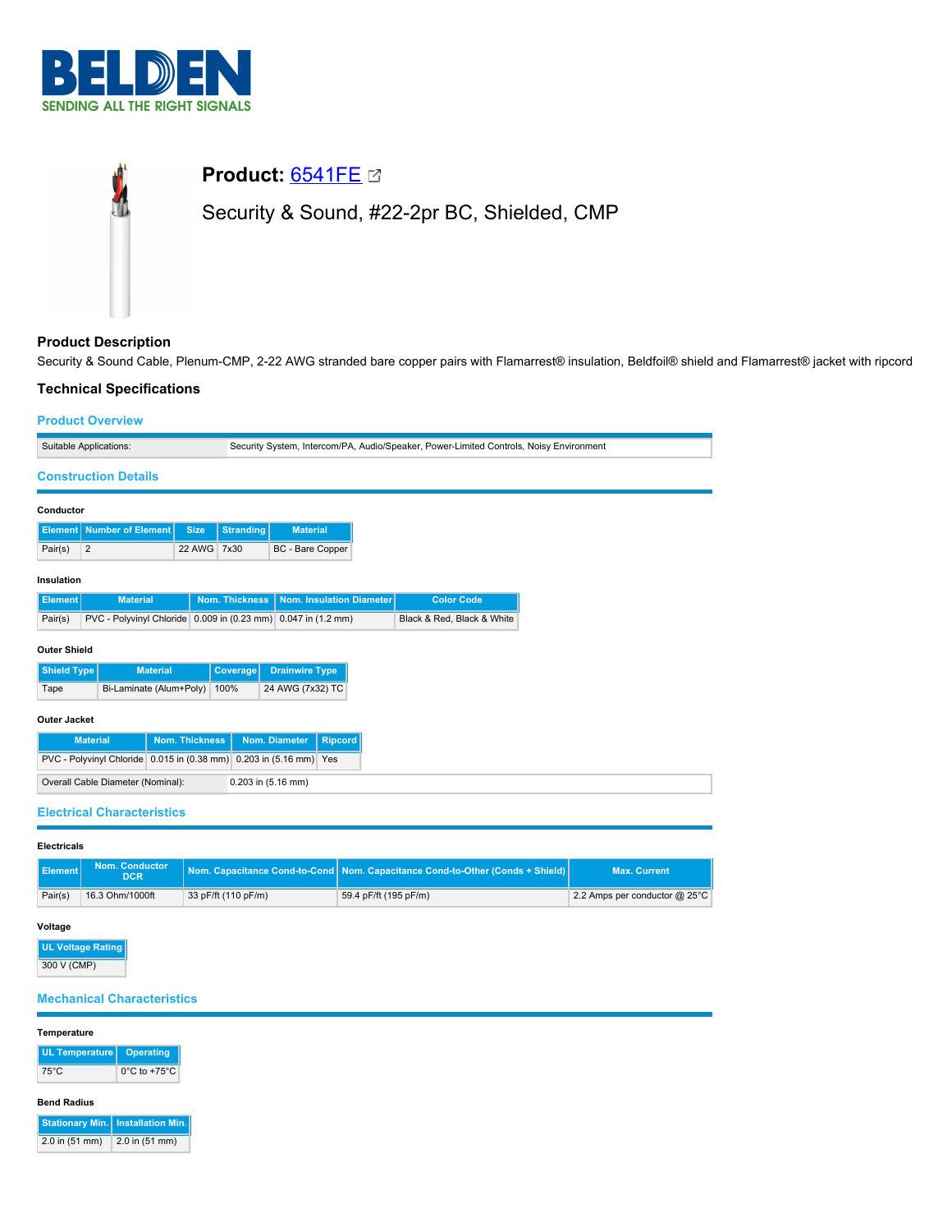

# **Product:** [6541FE](https://catalog.belden.com/index.cfm?event=pd&p=PF_6541FE&tab=downloads) Security & Sound, #22-2pr BC, Shielded, CMP

# **Product Description**

Security & Sound Cable, Plenum-CMP, 2-22 AWG stranded bare copper pairs with Flamarrest® insulation, Beldfoil® shield and Flamarrest® jacket with ripcord

## **Technical Specifications**

## **Product Overview**

| Suitable Applications:                                                   |                                             |                 |                       | Security System, Intercom/PA, Audio/Speaker, Power-Limited Controls, Noisy Environment |  |                            |  |  |
|--------------------------------------------------------------------------|---------------------------------------------|-----------------|-----------------------|----------------------------------------------------------------------------------------|--|----------------------------|--|--|
|                                                                          | <b>Construction Details</b>                 |                 |                       |                                                                                        |  |                            |  |  |
| Conductor                                                                |                                             |                 |                       |                                                                                        |  |                            |  |  |
|                                                                          | <b>Element</b> Number of Element            | <b>Size</b>     | <b>Stranding</b>      | <b>Material</b>                                                                        |  |                            |  |  |
| Pair(s)                                                                  | 2                                           | 22 AWG          | 7x30                  | BC - Bare Copper                                                                       |  |                            |  |  |
| Insulation                                                               |                                             |                 |                       |                                                                                        |  |                            |  |  |
| <b>Element</b>                                                           | <b>Material</b>                             |                 | <b>Nom. Thickness</b> | <b>Nom. Insulation Diameter</b>                                                        |  | <b>Color Code</b>          |  |  |
| PVC - Polyvinyl Chloride 0.009 in (0.23 mm) 0.047 in (1.2 mm)<br>Pair(s) |                                             |                 |                       |                                                                                        |  | Black & Red, Black & White |  |  |
| <b>Outer Shield</b>                                                      |                                             |                 |                       |                                                                                        |  |                            |  |  |
| Shield Type                                                              |                                             | <b>Material</b> | <b>Coverage</b>       | <b>Drainwire Type</b>                                                                  |  |                            |  |  |
| Bi-Laminate (Alum+Poly)<br>Tape                                          |                                             | 100%            | 24 AWG (7x32) TC      |                                                                                        |  |                            |  |  |
| <b>Outer Jacket</b>                                                      |                                             |                 |                       |                                                                                        |  |                            |  |  |
| <b>Nom. Thickness</b><br><b>Material</b>                                 |                                             |                 |                       | Nom. Diameter<br><b>Ripcord</b>                                                        |  |                            |  |  |
|                                                                          | PVC - Polyvinyl Chloride 0.015 in (0.38 mm) |                 |                       | 0.203 in (5.16 mm) Yes                                                                 |  |                            |  |  |
| Overall Cable Diameter (Nominal):<br>0.203 in (5.16 mm)                  |                                             |                 |                       |                                                                                        |  |                            |  |  |
|                                                                          |                                             |                 |                       |                                                                                        |  |                            |  |  |

## **Electrical Characteristics**

| <b>Element</b> | <b>Nom. Conductor</b><br>DCR <sup>1</sup> |                     | Nom. Capacitance Cond-to-Cond Nom. Capacitance Cond-to-Other (Conds + Shield) | <b>Max. Current</b>           |
|----------------|-------------------------------------------|---------------------|-------------------------------------------------------------------------------|-------------------------------|
| Pair(s)        | 16.3 Ohm/1000ft                           | 33 pF/ft (110 pF/m) | 59.4 pF/ft (195 pF/m)                                                         | 2.2 Amps per conductor @ 25°C |

#### **Voltage**

| <b>UL Voltage Rating</b> |
|--------------------------|
| 300 V (CMP)              |

## **Mechanical Characteristics**

## **Temperature**

| UL Temperature   Operating |                                   |
|----------------------------|-----------------------------------|
| 75°C                       | $0^{\circ}$ C to +75 $^{\circ}$ C |

## **Bend Radius**

|                    | <b>Stationary Min.</b> Installation Min. |
|--------------------|------------------------------------------|
| $2.0$ in $(51$ mm) | 2.0 in (51 mm)                           |